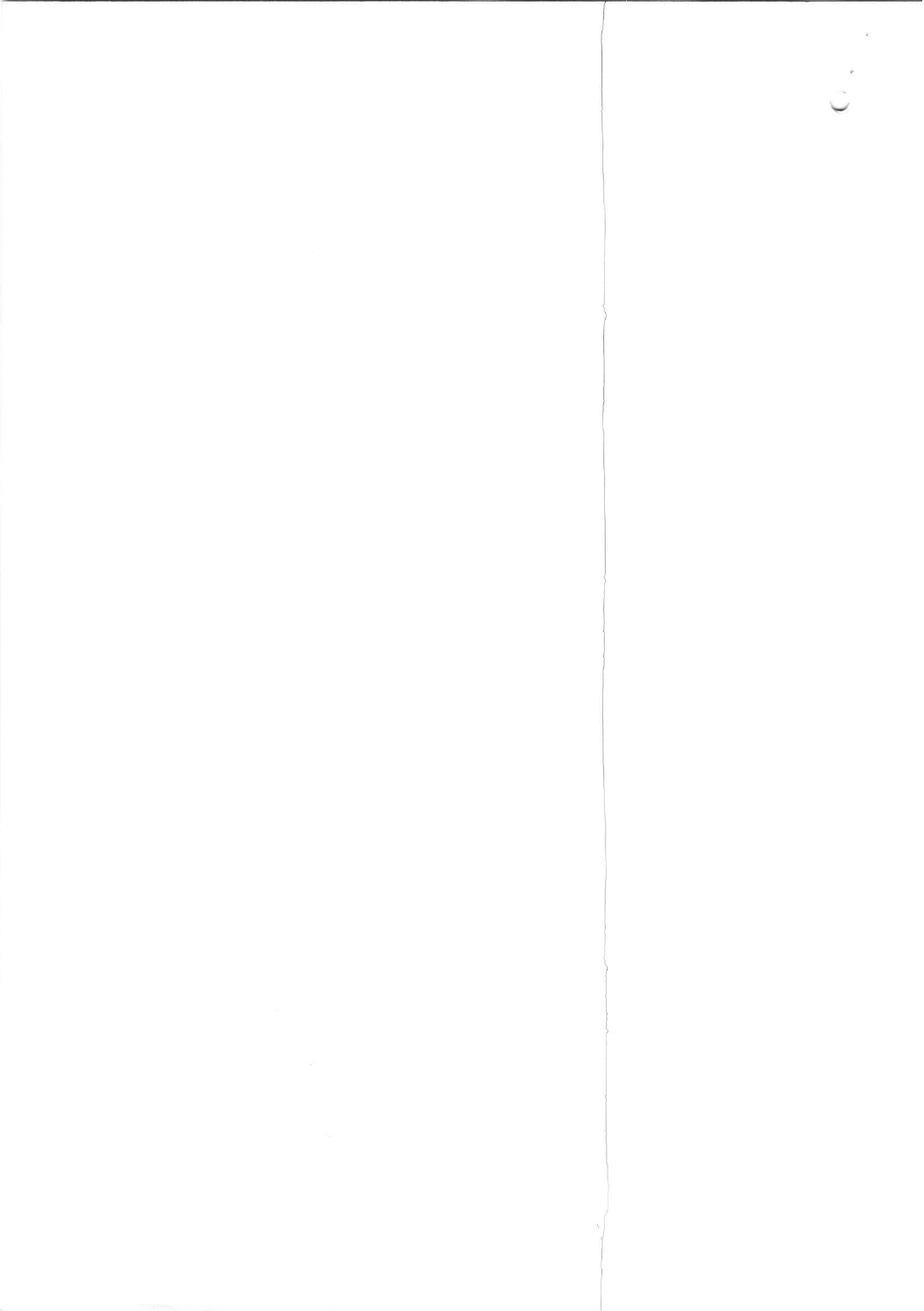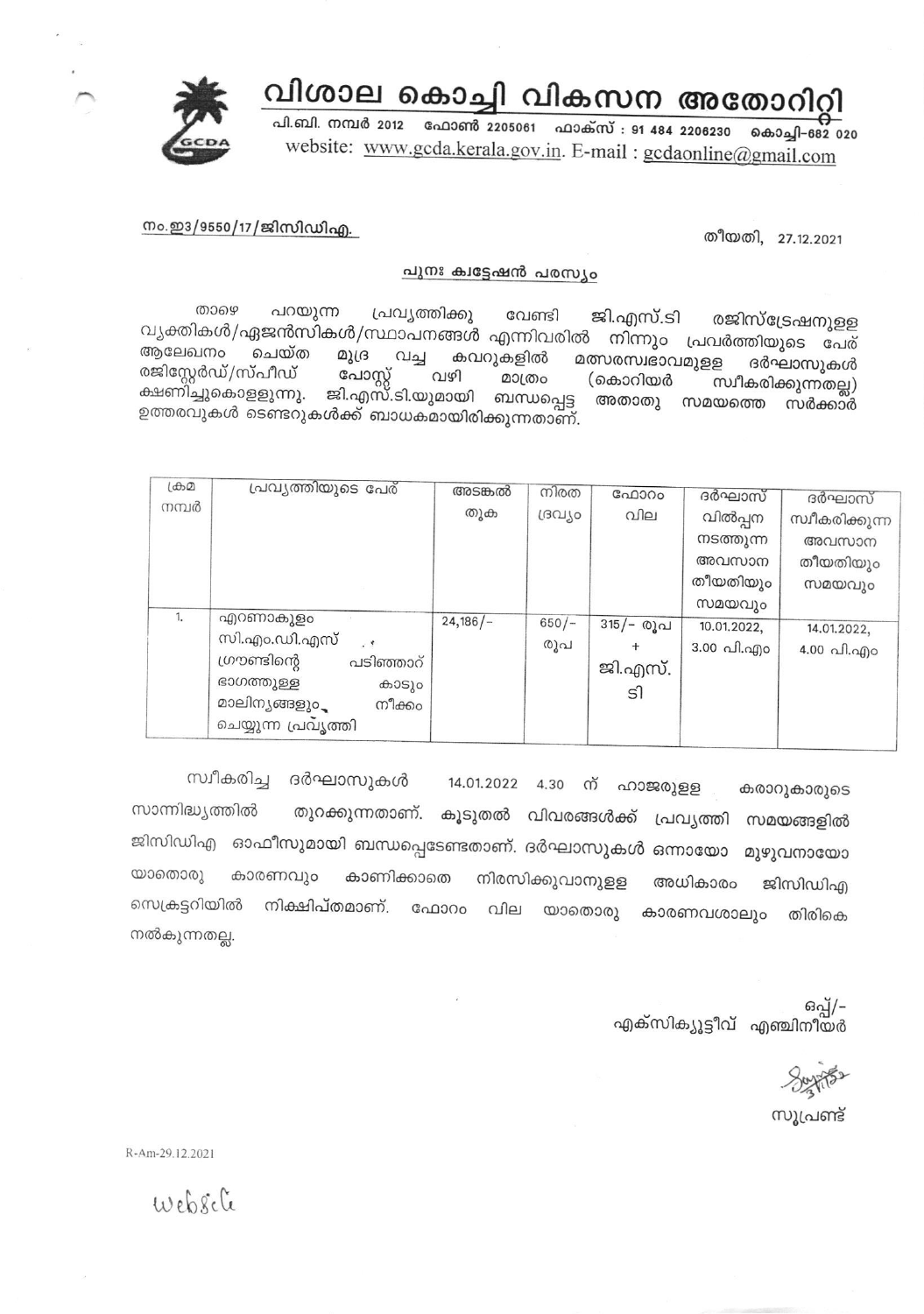വിശാല കൊച്ചി വികസന അതോറിറ്റി



പി.ബി. നമ്പർ 2012 ഫോൺ 2205061 ഫാക്സ് : 91 484 2206230 കൊച്ചി-682 020 website: www.gcda.kerala.gov.in. E-mail: gcdaonline@gmail.com

നം.ഇ3/9550/17/ജിസിഡിഎ.

തീയതി, 27.12.2021

## പുനഃ ക്വട്ടേഷൻ പരസ്യം

താഴെ പറയുന്ന പ്രവൃത്തിക്കു വേണ്ടി ജി.എസ്.ടി രജിസ്ട്രേഷനുളള വ്യക്തികൾ/ഏജൻസികൾ/സ്ഥാപനങ്ങൾ എന്നിവരിൽ നിന്നും പ്രവർത്തിയുടെ പേര് ആലേഖനം ചെയ്ത മുദ്ര കവറുകളിൽ വച്ച മത്സരസ്വഭാവമുളള ദർഘാസുകൾ രജിസ്റ്റേർഡ്/സ്പീഡ് പോസ്റ്റ് വഴി മാത്രം (കൊറിയർ സ്വീകരിക്കുന്നതല്ല) ക്ഷണിച്ചുകൊളളുന്നു. ജി.എസ്.ടി.യുമായി ബന്ധപ്പെട്ട അതാതു സമയത്തെ സർക്കാർ ഉത്തരവുകൾ ടെണ്ടറുകൾക്ക് ബാധകമായിരിക്കുന്നതാണ്.

| $(d \theta_2 \Omega)$ | പ്രവ്യത്തിയുടെ പേര്       | അടങ്കൽ     | നിരത    | ഫോറം      |             |                |
|-----------------------|---------------------------|------------|---------|-----------|-------------|----------------|
| നമ്പർ                 |                           |            |         |           | ദർഘാസ്      | ദർഘാസ്         |
|                       |                           | തുക        | ദ്രഗ്യാ | വില       | വിൽപ്പന     | സ്വീകരിക്കുന്ന |
|                       |                           |            |         |           | നടത്തുന്ന   | അവസാന          |
|                       |                           |            |         |           |             |                |
|                       |                           |            |         |           | അവസാന       | തീയതിയും       |
|                       |                           |            |         |           | തീയതിയും    | സമയവും         |
|                       |                           |            |         |           | സമയവും      |                |
| 1.                    | എറണാകുളം                  | $24,186/-$ | $650/-$ | 315/- രൂപ | 10.01.2022, | 14.01.2022.    |
|                       | സി.എം.ഡി.എസ്              |            | രൂപ     |           | 3.00 പി.എം  |                |
|                       | ഗ്രൗണ്ടിന്റെ<br>പടിഞ്ഞാറ് |            |         |           |             | 4.00 പി.എം     |
|                       |                           |            |         | ജി.എസ്.   |             |                |
|                       | ഭാഗത്തുള്ള<br>കാടും       |            |         | sî        |             |                |
|                       | മാലിന്യങ്ങളും<br>നീക്കം   |            |         |           |             |                |
|                       | ചെയ്യുന്ന പ്രവൃത്തി       |            |         |           |             |                |
|                       |                           |            |         |           |             |                |

സ്വീകരിച്ച ദർഘാസുകൾ 14.01.2022 4.30 ന് ഹാജരുളള കരാറുകാരുടെ തുറക്കുന്നതാണ്. കൂടുതൽ വിവരങ്ങൾക്ക് പ്രവൃത്തി സാന്നിദ്ധ്യത്തിൽ സമയങ്ങളിൽ ജിസിഡിഎ ഓഫീസുമായി ബന്ധപ്പെടേണ്ടതാണ്. ദർഘാസുകൾ ഒന്നായോ മുഴുവനായോ യാതൊരു കാരണവും കാണിക്കാതെ നിരസിക്കുവാനുളള അധികാരം ജിസിഡിഎ സെക്രട്ടറിയിൽ നിക്ഷിപ്തമാണ്. ഫോറം വില യാതൊരു കാരണവശാലും തിരികെ നൽകുന്നതല്ല

ഒപ്പ്/-എക്സിക്യൂട്ടീവ് എഞ്ചിനീയർ

സുപ്രണ്ട്

R-Am-29.12.2021

Websch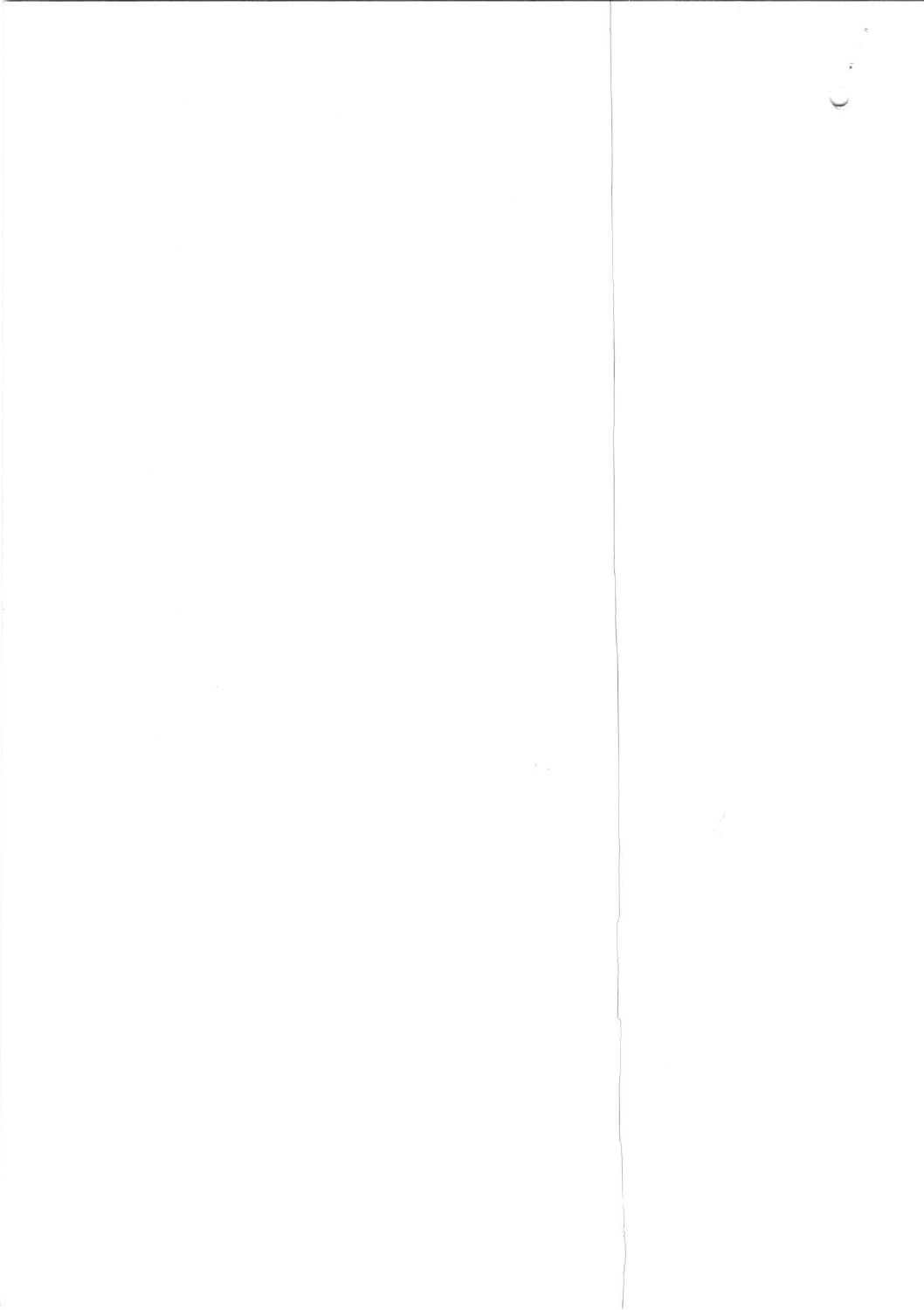